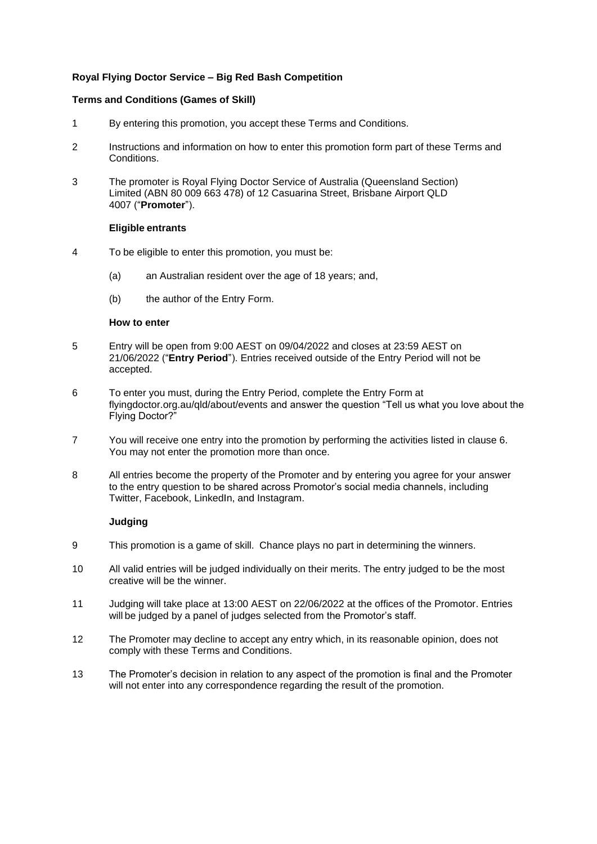# **Royal Flying Doctor Service – Big Red Bash Competition**

## **Terms and Conditions (Games of Skill)**

- 1 By entering this promotion, you accept these Terms and Conditions.
- 2 Instructions and information on how to enter this promotion form part of these Terms and Conditions.
- 3 The promoter is Royal Flying Doctor Service of Australia (Queensland Section) Limited (ABN 80 009 663 478) of 12 Casuarina Street, Brisbane Airport QLD 4007 ("**Promoter**").

## **Eligible entrants**

- 4 To be eligible to enter this promotion, you must be:
	- (a) an Australian resident over the age of 18 years; and,
	- (b) the author of the Entry Form.

#### **How to enter**

- 5 Entry will be open from 9:00 AEST on 09/04/2022 and closes at 23:59 AEST on 21/06/2022 ("**Entry Period**"). Entries received outside of the Entry Period will not be accepted.
- 6 To enter you must, during the Entry Period, complete the Entry Form at flyingdoctor.org.au/qld/about/events and answer the question "Tell us what you love about the Flying Doctor?"
- 7 You will receive one entry into the promotion by performing the activities listed in clause 6. You may not enter the promotion more than once.
- 8 All entries become the property of the Promoter and by entering you agree for your answer to the entry question to be shared across Promotor's social media channels, including Twitter, Facebook, LinkedIn, and Instagram.

# **Judging**

- 9 This promotion is a game of skill. Chance plays no part in determining the winners.
- 10 All valid entries will be judged individually on their merits. The entry judged to be the most creative will be the winner.
- 11 Judging will take place at 13:00 AEST on 22/06/2022 at the offices of the Promotor. Entries will be judged by a panel of judges selected from the Promotor's staff.
- 12 The Promoter may decline to accept any entry which, in its reasonable opinion, does not comply with these Terms and Conditions.
- 13 The Promoter's decision in relation to any aspect of the promotion is final and the Promoter will not enter into any correspondence regarding the result of the promotion.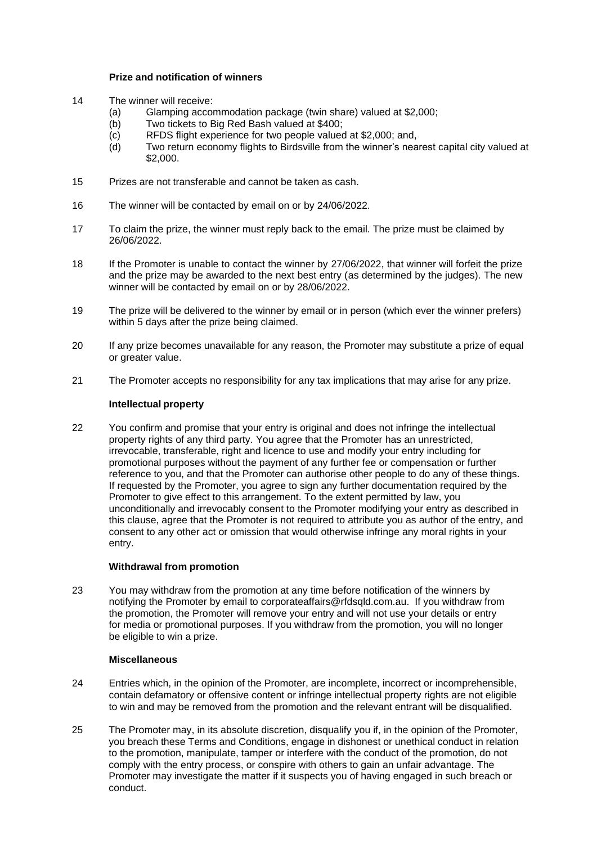## **Prize and notification of winners**

- 14 The winner will receive:
	- (a) Glamping accommodation package (twin share) valued at \$2,000;
	- (b) Two tickets to Big Red Bash valued at \$400;
	- (c) RFDS flight experience for two people valued at \$2,000; and,<br>(d) Two return economy flights to Birdsville from the winner's nea
	- Two return economy flights to Birdsville from the winner's nearest capital city valued at \$2,000.
- 15 Prizes are not transferable and cannot be taken as cash.
- 16 The winner will be contacted by email on or by 24/06/2022.
- 17 To claim the prize, the winner must reply back to the email. The prize must be claimed by 26/06/2022.
- 18 If the Promoter is unable to contact the winner by 27/06/2022, that winner will forfeit the prize and the prize may be awarded to the next best entry (as determined by the judges). The new winner will be contacted by email on or by 28/06/2022.
- 19 The prize will be delivered to the winner by email or in person (which ever the winner prefers) within 5 days after the prize being claimed.
- 20 If any prize becomes unavailable for any reason, the Promoter may substitute a prize of equal or greater value.
- 21 The Promoter accepts no responsibility for any tax implications that may arise for any prize.

## **Intellectual property**

22 You confirm and promise that your entry is original and does not infringe the intellectual property rights of any third party. You agree that the Promoter has an unrestricted, irrevocable, transferable, right and licence to use and modify your entry including for promotional purposes without the payment of any further fee or compensation or further reference to you, and that the Promoter can authorise other people to do any of these things. If requested by the Promoter, you agree to sign any further documentation required by the Promoter to give effect to this arrangement. To the extent permitted by law, you unconditionally and irrevocably consent to the Promoter modifying your entry as described in this clause, agree that the Promoter is not required to attribute you as author of the entry, and consent to any other act or omission that would otherwise infringe any moral rights in your entry.

# **Withdrawal from promotion**

23 You may withdraw from the promotion at any time before notification of the winners by notifying the Promoter by email to corporateaffairs@rfdsqld.com.au. If you withdraw from the promotion, the Promoter will remove your entry and will not use your details or entry for media or promotional purposes. If you withdraw from the promotion, you will no longer be eligible to win a prize.

#### **Miscellaneous**

- 24 Entries which, in the opinion of the Promoter, are incomplete, incorrect or incomprehensible, contain defamatory or offensive content or infringe intellectual property rights are not eligible to win and may be removed from the promotion and the relevant entrant will be disqualified.
- 25 The Promoter may, in its absolute discretion, disqualify you if, in the opinion of the Promoter, you breach these Terms and Conditions, engage in dishonest or unethical conduct in relation to the promotion, manipulate, tamper or interfere with the conduct of the promotion, do not comply with the entry process, or conspire with others to gain an unfair advantage. The Promoter may investigate the matter if it suspects you of having engaged in such breach or conduct.